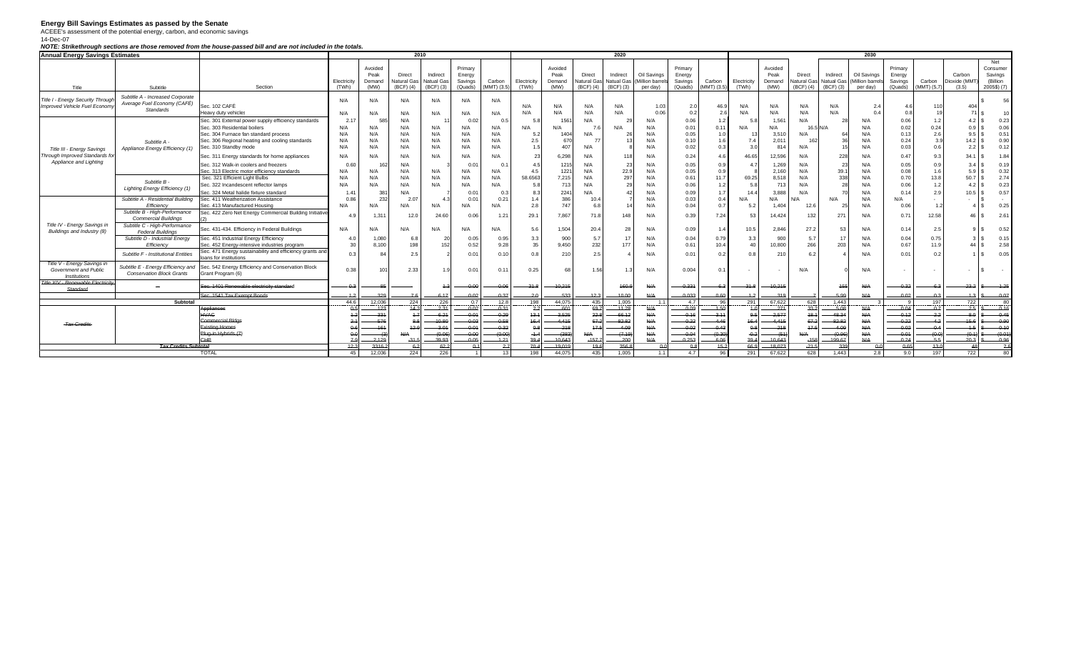**Energy Bill Savings Estimates as passed by the Senate**<br>ACEEE's assessment of the potential energy, carbon, and economic savings<br>14-Dec-07

## *NOTE: Strikethrough sections are those removed from the house-passed bill and are not included in the totals.*

| Avoided<br>Primary<br>Primary<br>Avoided<br>Primary<br>Avoided<br>Peak<br>Energy<br>Peak<br>Oil Savings<br>Energy<br>Peak<br>Direct<br>Indirect<br>Oil Savings<br>Carbon<br>Direct<br>Indirect<br>Energy<br>Direct<br>Indirect<br><b>Natual Gas</b><br>Electricity<br><b>Natual Gas</b><br>Million barrels<br>Electricity<br>Carbon<br><b>Vatural Gas</b><br>Million barrel:<br>Savings<br>Electricity<br>Demand<br>Savings<br>Carbon<br>Dioxide (MM<br>Demand<br>Natural Gas<br>Savings<br>Demand<br>Carbon<br>Natural Gas<br><b>Natual Gas</b><br>$(BCF)$ $(4)$<br>$(BCF)$ (3)<br>(TWh)<br>(MW)<br>$(BCF)$ $(4)$<br>$(BCF)$ $(3)$<br>(Quads)<br>(MMT) (3.<br>(TWh)<br>(MW)<br>$(BCF)$ $(4)$<br>$(BCF)$ $(3)$<br>Title<br>Subtitle<br>(TWh)<br>(MW)<br>$AMT)$ (3<br>(Quads)<br>MMT) (5,7)<br>Section<br>(Quads)<br>per day)<br>per day)<br>(3.5)<br>Subtitle A - Increased Corporate<br>Title I - Energy Security Through<br>N/A<br>N/A<br>N/A<br>N/A<br>N/A<br>N/A<br>Average Fuel Economy (CAFÉ)<br>Sec. 102 CAFÉ<br>N/A<br>Improved Vehicle Fuel Econom<br>N/A<br>N/A<br>46.9<br>2.4<br>N/A<br>N/A<br>2.0<br>N/A<br>N/A<br>N/A<br>1.03<br>Standards<br>N/A<br>N/A<br>N/A<br>N/A<br>N/A<br>0.06<br>2.6<br>N/A<br>N/A<br>N/A<br>0.4<br>Heavy duty vehicles<br>N/A<br>0.2<br>N/A<br>N/A<br>N/A<br>N/A<br>N/A<br>1.2<br>Sec. 301 External power supply efficiency standards<br>N/A<br>156<br>N/A<br>2.17<br>0.02<br>0.06<br>N/A<br>5.8 | Net<br>Consume<br>Savings<br>(Billion<br>2005\$) (7)<br>56                                                                                                 |
|----------------------------------------------------------------------------------------------------------------------------------------------------------------------------------------------------------------------------------------------------------------------------------------------------------------------------------------------------------------------------------------------------------------------------------------------------------------------------------------------------------------------------------------------------------------------------------------------------------------------------------------------------------------------------------------------------------------------------------------------------------------------------------------------------------------------------------------------------------------------------------------------------------------------------------------------------------------------------------------------------------------------------------------------------------------------------------------------------------------------------------------------------------------------------------------------------------------------------------------------------------------------------------------------------------------------------------------------------------------------------------------------------------------------------------------|------------------------------------------------------------------------------------------------------------------------------------------------------------|
|                                                                                                                                                                                                                                                                                                                                                                                                                                                                                                                                                                                                                                                                                                                                                                                                                                                                                                                                                                                                                                                                                                                                                                                                                                                                                                                                                                                                                                        |                                                                                                                                                            |
|                                                                                                                                                                                                                                                                                                                                                                                                                                                                                                                                                                                                                                                                                                                                                                                                                                                                                                                                                                                                                                                                                                                                                                                                                                                                                                                                                                                                                                        | 40                                                                                                                                                         |
| 1,56<br>0.5<br>N/A<br>0.06<br>1.2<br>Sec. 303 Residential boilers<br>N/A<br>0.24<br>N/A<br>N/A<br>N/A<br>0.01<br>0.11<br>N/A<br>N/A<br>N/A<br>N/A<br>N/A<br>N/A<br>N/A<br>N/A<br>16.5 N/A<br>N/A<br>0.02<br>7.6<br>N/A<br>Sec. 304 Furnace fan standard process<br>N/A<br>N/A<br>N/A<br>N/A<br>140<br>N/A<br>N/A<br>0.05<br>1.0<br>3,51(<br>N/A<br>0.13<br>2.6<br>N/A<br>N/A<br>-5.2<br>N/A<br>N/A<br>N/A<br>2.5<br>670<br>N/A<br>0.10<br>1.6<br>2,011<br>N/A<br>0.24<br>3.9<br>Sec. 306 Regional heating and cooling standards<br>N/A<br>N/A<br>N/A<br>7.4<br>77<br>16<br>Subtitle A -<br>N/A<br>N/A<br>0.02<br>0.3<br>0.6<br>N/A<br>N/A<br>N/A<br>407<br>N/A<br>N/A<br>N/A<br>Sec. 310 Standby mode<br>N/A<br>3(<br>814<br>15<br>0.03<br>N/A<br>Appliance Energy Efficiency (1)<br>Title III - Energy Savings<br>Through Improved Standards fo<br>N/A<br>6,298<br>0.24<br>Sec. 311 Energy standards for home appliances<br>N/A<br>N/A<br>N/A<br>N/A<br>N/A<br>N/A<br>4.6<br>46.6<br>12,596<br>228<br>N/A<br>0.47<br>9.3<br>N/A<br>N/A<br>Appliance and Lighting<br>N/A<br>121<br>N/A<br>0.05<br>0.9<br>Sec. 312 Walk-in coolers and freezers<br>N/A<br>0.9<br>1,269<br>N/A<br>23<br>N/A<br>0.05<br>0.6<br>0.01<br>$\Omega$<br>4.7<br>Sec. 313 Electric motor efficiency standards<br>N/A<br>N/A<br>N/A<br>N/A<br>122<br>22.<br>N/A<br>0.05<br>0.9<br>N/A<br>2.160<br>N/A<br>39.7<br>N/A<br>0.08<br>1.6<br>N/A<br>N/A                 | 0.23<br>$4.2$ S<br>$0.9$ \$<br>0.06<br>$9.5$ \$<br>0.51<br>$14.2$ \$<br>0.90<br>2.2 S<br>0.12<br>34.1 S<br>1.84<br>3.4 <sup>5</sup><br>0.19<br>0.32<br>5.9 |
| 7,215<br>58.6563<br>N/A<br>0.61<br>11.7<br>13.8<br>Sec. 321 Efficient Light Bulbs<br>N/A<br>N/A<br>N/A<br>29<br>N/A<br>69.25<br>8,518<br>338<br>N/A<br>0.70<br>N/A<br>N/A<br>N/A<br>N/A<br>Subtitle B -<br>N/A<br>713<br>N/A<br>0.06<br>1.2<br>Sec. 322 Incandescent reflector lamps<br>N/A<br>N/A<br>N/A<br>51<br>N/A<br>713<br>1.2<br>N/A<br>N/A<br>5.1<br>N/A<br>$N/\rho$<br>0.06<br><b>Lighting Energy Efficiency (1)</b><br>224<br>2.9<br>Sec. 324 Metal halide fixture standard<br>N/A<br>N/A<br>0.09<br>1.7<br>3,888<br>N/A<br>0.01<br>N/A<br>$N/\rho$<br>0.14<br>38<br>14.4<br>0.3                                                                                                                                                                                                                                                                                                                                                                                                                                                                                                                                                                                                                                                                                                                                                                                                                                             | 50.7 <sup>8</sup><br>2.74<br>0.23<br>4.2 <sup>°</sup><br>l s<br>0.57<br>10.5                                                                               |
| 232<br>386<br>0.03<br>Subtitle A - Residential Building<br>Sec. 411 Weatherization Assistance<br>0.86<br>2.07<br>0.01<br>0.21<br>10.4<br>N/A<br>0.4<br>N/A<br>N/A<br>N/A<br>1.4<br>N/A<br>N/A<br>$\sim$<br>747<br>Efficiencv<br>N/A<br>2.8<br>0.04<br>0.7<br>N/A<br>Sec. 413 Manufactured Housing<br>N/A<br>N/A<br>N/A<br>6.8<br>N/A<br>1,404<br>12.6<br>0.06<br>1 <sup>2</sup><br>N/A<br>N/A<br>5.2<br>Subtitle B - High-Performance<br>Sec. 422 Zero Net Energy Commercial Building Initiative<br>29.1<br>7,867<br>0.39<br>7.24<br>132<br>12.58<br>1,311<br>12.0<br>24.60<br>0.06<br>1.21<br>71 <sub>5</sub><br>N/A<br>53<br>14,424<br>27<br>N/A<br>0.7<br><b>Commercial Buildings</b><br>(2)                                                                                                                                                                                                                                                                                                                                                                                                                                                                                                                                                                                                                                                                                                                                        | ۱s<br>$4$ S<br>0.25<br>l s<br>$2.6^{\circ}$                                                                                                                |
| Title IV - Energy Savings in<br>Subtitle C - High-Performance<br>Sec. 431-434. Efficiency in Federal Buildings<br>N/A<br>1,504<br>2,846<br>27.2<br>N/A<br>N/A<br>N/A<br>5.6<br>20.4<br>N/A<br>0.09<br>10.5<br>N/A<br>0.14<br>2.5<br>N/A<br>N/A<br>1.4<br>Buildings and Industry (8)<br><b>Federal Buildings</b><br>5.7<br>Subtitle D - Industrial Energy<br>Sec. 451 Industrial Energy Efficiency<br>1,080<br>0.05<br>3.3<br>900<br>N/A<br>0.04<br>0.79<br>900<br>N/A<br>0.04<br>0.75<br>6.8<br>0.95<br>5.7<br>3.3<br>4(<br>Efficiencv<br>8,100<br>198<br>0.52<br>35<br>9,450<br>232<br>0.61<br>10.4<br>10,800<br>266<br>203<br>Sec. 452 Energy-intensive industries program<br>30<br>9.28<br>177<br>N/A<br>40<br>N/A<br>0.67<br>11.9<br>Sec. 471 Energy sustainability and efficiency grants and                                                                                                                                                                                                                                                                                                                                                                                                                                                                                                                                                                                                                                      | 0.52<br>0.15<br>3S<br>44S<br>2.58                                                                                                                          |
| Subtitle F - Institutional Entities<br>210<br>210<br>6.2<br>2.5<br>0.01<br>0.8<br>0.01<br>0.3<br>84<br>2.5<br>N/A<br>0.2<br>N/A<br>0.01<br>0.2<br>0.10<br>0.8<br>pans for institutions<br>Title V - Energy Savings in<br>Sec. 542 Energy Efficiency and Conservation Block<br>Subtitle E - Energy Efficiency and<br>Government and Public<br>0.38<br>0.25<br>2.33<br>0.01<br>1.56<br>N/A<br>0.004<br>N/A<br>N/A<br>10 <sup>1</sup><br>68<br>0.1<br>0.11<br>$\overline{\phantom{a}}$<br><b>Conservation Block Grants</b><br>Grant Program (6)<br>Institutions<br>Title XIV - Renewable Electricity                                                                                                                                                                                                                                                                                                                                                                                                                                                                                                                                                                                                                                                                                                                                                                                                                                      | 0.05<br>$\overline{\phantom{a}}$                                                                                                                           |
| Sec. 1401 Renewable electricity standard<br>10.215<br>$-0.00$<br>160<br>N/A<br>0.331<br>$-31.8$<br>10.215<br>N/A<br>23.2<br>$-0.06$<br>$-31.8$<br>$-6.3$<br>$-0.32$<br>$-6.3$<br>$\sim$<br>Standard<br>Sec. 1541 Tax Exempt Bonds<br>329<br>0.02<br>0.37<br>-533<br>12.3<br>10.00<br>N/A<br>0.033<br>0.60<br><b>N/A</b><br>6.17<br>31<br>$-5.99$<br>0.02                                                                                                                                                                                                                                                                                                                                                                                                                                                                                                                                                                                                                                                                                                                                                                                                                                                                                                                                                                                                                                                                               |                                                                                                                                                            |
| 44.6<br>12.036<br>226<br>44.07<br><b>Subtotal</b><br>224<br>0.7<br>12.8<br>198<br>435<br>1.005<br>4.7<br>291<br>67.622<br>628<br>1.443<br>197<br>1.1                                                                                                                                                                                                                                                                                                                                                                                                                                                                                                                                                                                                                                                                                                                                                                                                                                                                                                                                                                                                                                                                                                                                                                                                                                                                                   | 722<br>80<br>0.16                                                                                                                                          |
| 2.31<br>14.3<br>$-0.02$<br>$-60$<br>69.7<br>11.28<br>$-0.09$<br>1.50<br>$-271$<br>33.2<br>$-0.04$<br>$-0.7$<br>Appliances<br>$-123$<br>0.31<br>2,2<br><b>N/A</b><br>$-5.08$<br>N/A<br>1.0<br><b>HVAC</b><br>$-331$<br>6.21<br>$-0.01$<br>43.1<br>3,525<br>22.8<br>66.12<br>N/A<br>$-0.16$<br>$-3.11$<br>2.577<br>18.1<br>48.34<br>N/A<br>$-2.2$<br>17<br>$-0.29$<br>9.5<br>$-0.12$<br>576<br>0.03<br>4.415<br>67.2<br><b>N/A</b><br>$-0.22$<br>67.2<br>82.82<br>A/A<br>8.8<br>10.80<br>$-0.58$<br>16.4<br>82.82<br>4.46<br>16.4<br>4.415<br>$-0.22$<br>$\overline{A}$<br>Commorcial Bidgs<br><b>Tax Gredits</b><br>17.5<br>161<br>42.9<br>0.01<br>$-0.32$<br>$-218$<br>17.5<br><b>N/A</b><br>0.01<br>0.43<br>0.8<br>$-218$<br>$-4.09$<br>A/A<br>$-0.02$<br>3.0<br>$\Omega$<br>4.0<br>$\Omega$<br>Existing Homes<br>(38)<br>N/A<br>(0.30)<br>A/A<br>(0.06)<br>0.00<br>(0.00)<br>N/A<br>(7.19)<br>0.0<br><b>N/A</b><br>(0.96)<br>N/A<br>(0.6)<br>$-0.2$<br>(51)<br>$-0.01$<br>Plug-in Hybrids (7)<br>39/<br>10.643<br><b>N/A</b><br>0.253<br>6.06<br>199.67<br>N/A<br><b>CHD</b><br>2.129<br>39.93<br>0.05<br>1.21<br>$-157$<br>$-200$<br>39.4<br>10.642<br>0.24<br>$-5.5$<br>$-31.4$<br>$-158$                                                                                                                                                                                                                                          | $2.5$ \$<br>$-0.45$<br>15.6<br>$-0.90$<br>0.10<br>(0.01)<br>(0, 1)<br>20.3<br>$-0.96$                                                                      |
| 19,019<br>3316.<br>356.<br>$-21.5$<br>18,073<br>62<br>70.4<br>13 <sub>0</sub><br><b>Tax Credits Subtotal</b><br>12.3<br>19.6<br>0.65<br>0.0<br>66.9<br>339<br>2.7<br>0.8<br>45.2<br>6.2<br>$\Omega$<br>$\Omega$<br>224<br>44.075<br>1.1<br>628<br>1.443<br>12.036<br>198<br>435<br>1.005<br>4.7<br>291<br>67.622<br>2.8<br>197<br>45<br>226<br>9.0<br><b>TOTAL</b><br>13 <sup>13</sup><br>۹F                                                                                                                                                                                                                                                                                                                                                                                                                                                                                                                                                                                                                                                                                                                                                                                                                                                                                                                                                                                                                                           | 26<br>48<br>80<br>722                                                                                                                                      |